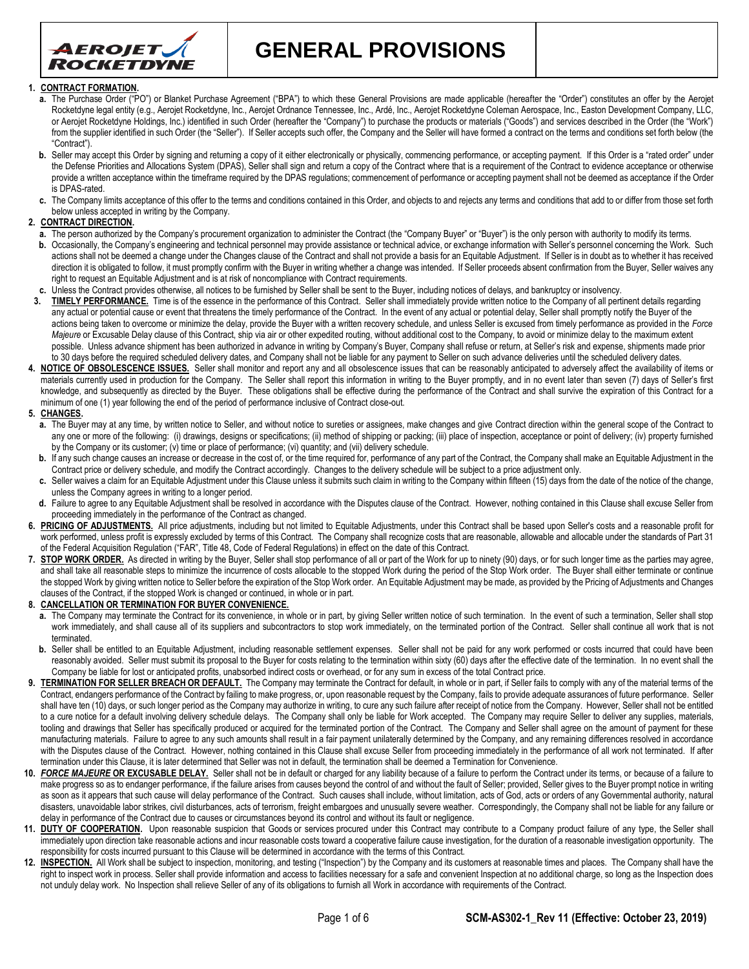

**GENERAL PROVISIONS**

#### **1. CONTRACT FORMATION.**

- **a.** The Purchase Order ("PO") or Blanket Purchase Agreement ("BPA") to which these General Provisions are made applicable (hereafter the "Order") constitutes an offer by the Aerojet Rocketdyne legal entity (e.g., Aerojet Rocketdyne, Inc., Aerojet Ordnance Tennessee, Inc., Ardé, Inc., Aerojet Rocketdyne Coleman Aerospace, Inc., Easton Development Company, LLC, or Aerojet Rocketdyne Holdings, Inc.) identified in such Order (hereafter the "Company") to purchase the products or materials ("Goods") and services described in the Order (the "Work") from the supplier identified in such Order (the "Seller"). If Seller accepts such offer, the Company and the Seller will have formed a contract on the terms and conditions set forth below (the "Contract").
- b. Seller may accept this Order by signing and returning a copy of it either electronically or physically, commencing performance, or accepting payment. If this Order is a "rated order" under the Defense Priorities and Allocations System (DPAS), Seller shall sign and return a copy of the Contract where that is a requirement of the Contract to evidence acceptance or otherwise provide a written acceptance within the timeframe required by the DPAS requlations; commencement of performance or accepting payment shall not be deemed as acceptance if the Order is DPAS-rated.
- **c.** The Company limits acceptance of this offer to the terms and conditions contained in this Order, and objects to and rejects any terms and conditions that add to or differ from those set forth below unless accepted in writing by the Company.

#### **2. CONTRACT DIRECTION.**

- **a.** The person authorized by the Company's procurement organization to administer the Contract (the "Company Buyer" or "Buyer") is the only person with authority to modify its terms. **b.** Occasionally, the Company's engineering and technical personnel may provide assistance or technical advice, or exchange information with Seller's personnel concerning the Work. Such actions shall not be deemed a change under the Changes clause of the Contract and shall not provide a basis for an Equitable Adjustment. If Seller is in doubt as to whether it has received direction it is obligated to follow, it must promptly confirm with the Buyer in writing whether a change was intended. If Seller proceeds absent confirmation from the Buyer, Seller waives any right to request an Equitable Adjustment and is at risk of noncompliance with Contract requirements.
- **c.** Unless the Contract provides otherwise, all notices to be furnished by Seller shall be sent to the Buyer, including notices of delays, and bankruptcy or insolvency.
- **3. TIMELY PERFORMANCE.** Time is of the essence in the performance of this Contract. Seller shall immediately provide written notice to the Company of all pertinent details regarding any actual or potential cause or event that threatens the timely performance of the Contract. In the event of any actual or potential delay, Seller shall promptly notify the Buyer of the actions being taken to overcome or minimize the delay, provide the Buyer with a written recovery schedule, and unless Seller is excused from timely performance as provided in the *Force*  Majeure or Excusable Delay clause of this Contract, ship via air or other expedited routing, without additional cost to the Company, to avoid or minimize delay to the maximum extent possible. Unless advance shipment has been authorized in advance in writing by Company's Buyer, Company shall refuse or return, at Seller's risk and expense, shipments made prior to 30 days before the required scheduled delivery dates, and Company shall not be liable for any payment to Seller on such advance deliveries until the scheduled delivery dates.
- **4. NOTICE OF OBSOLESCENCE ISSUES.** Seller shall monitor and report any and all obsolescence issues that can be reasonably anticipated to adversely affect the availability of items or materials currently used in production for the Company. The Seller shall report this information in writing to the Buyer promptly, and in no event later than seven (7) days of Seller's first knowledge, and subsequently as directed by the Buyer. These obligations shall be effective during the performance of the Contract and shall survive the expiration of this Contract for a minimum of one (1) year following the end of the period of performance inclusive of Contract close-out.

#### **5. CHANGES.**

- a. The Buyer may at any time, by written notice to Seller, and without notice to sureties or assignees, make changes and give Contract direction within the general scope of the Contract to any one or more of the following: (i) drawings, designs or specifications; (ii) method of shipping or packing; (iii) place of inspection, acceptance or point of delivery; (iv) property furnished by the Company or its customer; (v) time or place of performance; (vi) quantity; and (vii) delivery schedule.
- b. If any such change causes an increase or decrease in the cost of, or the time required for, performance of any part of the Contract, the Company shall make an Equitable Adjustment in the Contract price or delivery schedule, and modify the Contract accordingly. Changes to the delivery schedule will be subject to a price adjustment only.
- **c.** Seller waives a claim for an Equitable Adjustment under this Clause unless it submits such claim in writing to the Company within fifteen (15) days from the date of the notice of the change, unless the Company agrees in writing to a longer period.
- **d.** Failure to agree to any Equitable Adjustment shall be resolved in accordance with the Disputes clause of the Contract. However, nothing contained in this Clause shall excuse Seller from proceeding immediately in the performance of the Contract as changed.
- 6. PRICING OF ADJUSTMENTS. All price adjustments, including but not limited to Equitable Adjustments, under this Contract shall be based upon Seller's costs and a reasonable profit for work performed, unless profit is expressly excluded by terms of this Contract. The Company shall recognize costs that are reasonable, allowable and allocable under the standards of Part 31 of the Federal Acquisition Regulation ("FAR", Title 48, Code of Federal Regulations) in effect on the date of this Contract.
- 7. **STOP WORK ORDER.** As directed in writing by the Buyer, Seller shall stop performance of all or part of the Work for up to ninety (90) days, or for such longer time as the parties may agree, and shall take all reasonable steps to minimize the incurrence of costs allocable to the stopped Work during the period of the Stop Work order. The Buyer shall either terminate or continue the stopped Work by giving written notice to Seller before the expiration of the Stop Work order. An Equitable Adjustment may be made, as provided by the Pricing of Adjustments and Changes clauses of the Contract, if the stopped Work is changed or continued, in whole or in part.
- **8. CANCELLATION OR TERMINATION FOR BUYER CONVENIENCE.**
	- a. The Company may terminate the Contract for its convenience, in whole or in part, by giving Seller written notice of such termination. In the event of such a termination, Seller shall stop work immediately, and shall cause all of its suppliers and subcontractors to stop work immediately, on the terminated portion of the Contract. Seller shall continue all work that is not terminated.
	- **b.** Seller shall be entitled to an Equitable Adjustment, including reasonable settlement expenses. Seller shall not be paid for any work performed or costs incurred that could have been reasonably avoided. Seller must submit its proposal to the Buyer for costs relating to the termination within sixty (60) days after the effective date of the termination. In no event shall the Company be liable for lost or anticipated profits, unabsorbed indirect costs or overhead, or for any sum in excess of the total Contract price.
- 9. **TERMINATION FOR SELLER BREACH OR DEFAULT**. The Company may terminate the Contract for default, in whole or in part, if Seller fails to comply with any of the material terms of the Contract, endangers performance of the Contract by failing to make progress, or, upon reasonable request by the Company, fails to provide adequate assurances of future performance. Seller shall have ten (10) days, or such longer period as the Company may authorize in writing, to cure any such failure after receipt of notice from the Company. However, Seller shall not be entitled to a cure notice for a default involving delivery schedule delays. The Company shall only be liable for Work accepted. The Company may require Seller to deliver any supplies, materials, tooling and drawings that Seller has specifically produced or acquired for the terminated portion of the Contract. The Company and Seller shall agree on the amount of payment for these manufacturing materials. Failure to agree to any such amounts shall result in a fair payment unilaterally determined by the Company, and any remaining differences resolved in accordance with the Disputes clause of the Contract. However, nothing contained in this Clause shall excuse Seller from proceeding immediately in the performance of all work not terminated. If after termination under this Clause, it is later determined that Seller was not in default, the termination shall be deemed a Termination for Convenience.
- **10.** *FORCE MAJEURE* **OR EXCUSABLE DELAY.** Seller shall not be in default or charged for any liability because of a failure to perform the Contract under its terms, or because of a failure to make progress so as to endanger performance, if the failure arises from causes beyond the control of and without the fault of Seller; provided, Seller gives to the Buyer prompt notice in writing as soon as it appears that such cause will delay performance of the Contract. Such causes shall include, without limitation, acts of God, acts or orders of any Governmental authority, natural disasters, unavoidable labor strikes, civil disturbances, acts of terrorism, freight embargoes and unusually severe weather. Correspondingly, the Company shall not be liable for any failure or delay in performance of the Contract due to causes or circumstances beyond its control and without its fault or negligence.
- 11. **DUTY OF COOPERATION**. Upon reasonable suspicion that Goods or services procured under this Contract may contribute to a Company product failure of any type, the Seller shall immediately upon direction take reasonable actions and incur reasonable costs toward a cooperative failure cause investigation, for the duration of a reasonable investigation opportunity. The responsibility for costs incurred pursuant to this Clause will be determined in accordance with the terms of this Contract.
- 12. INSPECTION. All Work shall be subject to inspection, monitoring, and testing ("Inspection") by the Company and its customers at reasonable times and places. The Company shall have the right to inspect work in process. Seller shall provide information and access to facilities necessary for a safe and convenient Inspection at no additional charge, so long as the Inspection does not unduly delay work. No Inspection shall relieve Seller of any of its obligations to furnish all Work in accordance with requirements of the Contract.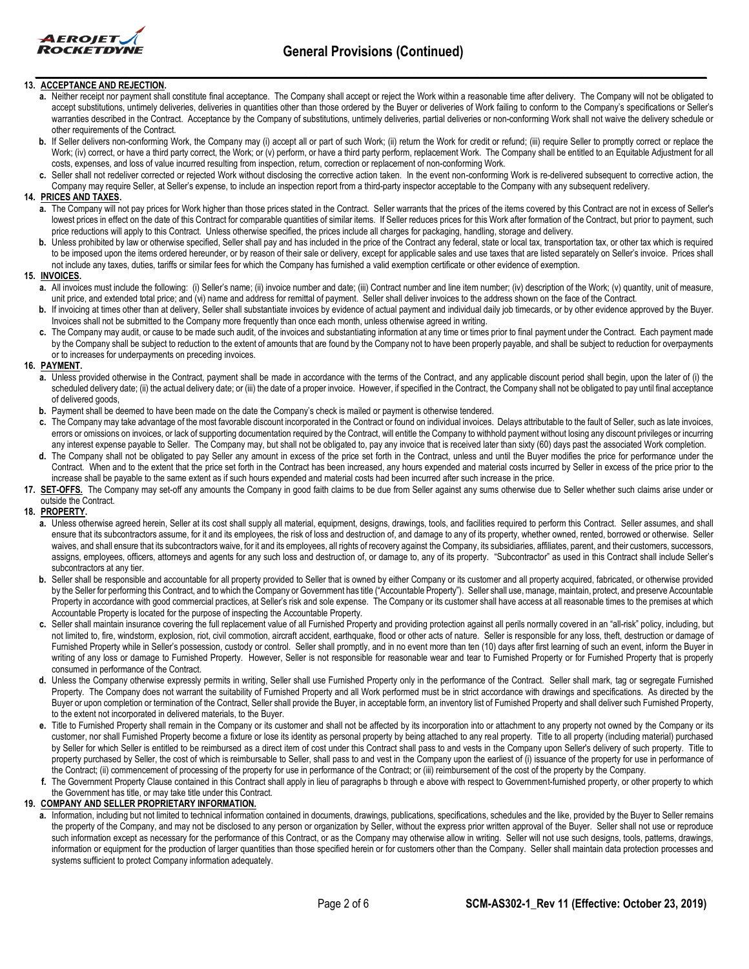

# **\_\_\_\_\_\_\_\_\_\_\_\_\_\_\_\_\_\_\_\_\_\_\_\_\_\_\_\_\_\_\_\_\_\_\_\_\_\_\_\_\_\_\_\_\_\_\_\_\_\_\_\_\_\_\_\_\_\_\_\_\_\_\_\_\_\_\_\_\_\_\_\_\_\_\_\_\_\_\_\_\_\_\_\_\_\_ 13. ACCEPTANCE AND REJECTION.**

- a. Neither receipt nor payment shall constitute final acceptance. The Company shall accept or reject the Work within a reasonable time after delivery. The Company will not be obligated to accept substitutions, untimely deliveries, deliveries in quantities other than those ordered by the Buyer or deliveries of Work failing to conform to the Company's specifications or Seller's warranties described in the Contract. Acceptance by the Company of substitutions, untimely deliveries, partial deliveries or non-conforming Work shall not waive the delivery schedule or other requirements of the Contract.
- **b.** If Seller delivers non-conforming Work, the Company may (i) accept all or part of such Work; (ii) return the Work for credit or refund; (iii) require Seller to promptly correct or replace the Work; (iv) correct, or have a third party correct, the Work; or (v) perform, or have a third party perform, replacement Work. The Company shall be entitled to an Equitable Adjustment for all costs, expenses, and loss of value incurred resulting from inspection, return, correction or replacement of non-conforming Work.
- **c.** Seller shall not redeliver corrected or rejected Work without disclosing the corrective action taken. In the event non-conforming Work is re-delivered subsequent to corrective action, the Company may require Seller, at Seller's expense, to include an inspection report from a third-party inspector acceptable to the Company with any subsequent redelivery.

#### **14. PRICES AND TAXES.**

- **a.** The Company will not pay prices for Work higher than those prices stated in the Contract. Seller warrants that the prices of the items covered by this Contract are not in excess of Seller's lowest prices in effect on the date of this Contract for comparable quantities of similar items. If Seller reduces prices for this Work after formation of the Contract, but prior to payment, such price reductions will apply to this Contract. Unless otherwise specified, the prices include all charges for packaging, handling, storage and delivery.
- **b.** Unless prohibited by law or otherwise specified, Seller shall pay and has included in the price of the Contract any federal, state or local tax, transportation tax, or other tax which is required to be imposed upon the items ordered hereunder, or by reason of their sale or delivery, except for applicable sales and use taxes that are listed separately on Seller's invoice. Prices shall not include any taxes, duties, tariffs or similar fees for which the Company has furnished a valid exemption certificate or other evidence of exemption.

#### **15. INVOICES.**

- **a.** All invoices must include the following: (i) Seller's name; (ii) invoice number and date; (iii) Contract number and line item number; (iv) description of the Work; (v) quantity, unit of measure, unit price, and extended total price; and (vi) name and address for remittal of payment. Seller shall deliver invoices to the address shown on the face of the Contract.
- **b.** If invoicing at times other than at delivery, Seller shall substantiate invoices by evidence of actual payment and individual daily job timecards, or by other evidence approved by the Buyer. Invoices shall not be submitted to the Company more frequently than once each month, unless otherwise agreed in writing.
- **c.** The Company may audit, or cause to be made such audit, of the invoices and substantiating information at any time or times prior to final payment under the Contract. Each payment made by the Company shall be subject to reduction to the extent of amounts that are found by the Company not to have been properly payable, and shall be subject to reduction for overpayments or to increases for underpayments on preceding invoices.

#### **16. PAYMENT.**

- **a.** Unless provided otherwise in the Contract, payment shall be made in accordance with the terms of the Contract, and any applicable discount period shall begin, upon the later of (i) the scheduled delivery date; (ii) the actual delivery date; or (iii) the date of a proper invoice. However, if specified in the Contract, the Company shall not be obligated to pay until final acceptance of delivered goods,
- **b.** Payment shall be deemed to have been made on the date the Company's check is mailed or payment is otherwise tendered.
- **c.** The Company may take advantage of the most favorable discount incorporated in the Contract or found on individual invoices. Delays attributable to the fault of Seller, such as late invoices, errors or omissions on invoices, or lack of supporting documentation required by the Contract, will entitle the Company to withhold payment without losing any discount privileges or incurring any interest expense payable to Seller. The Company may, but shall not be obligated to, pay any invoice that is received later than sixty (60) days past the associated Work completion.
- **d.** The Company shall not be obligated to pay Seller any amount in excess of the price set forth in the Contract, unless and until the Buyer modifies the price for performance under the Contract. When and to the extent that the price set forth in the Contract has been increased, any hours expended and material costs incurred by Seller in excess of the price prior to the increase shall be payable to the same extent as if such hours expended and material costs had been incurred after such increase in the price.
- 17. **SET-OFFS.** The Company may set-off any amounts the Company in good faith claims to be due from Seller against any sums otherwise due to Seller whether such claims arise under or outside the Contract.

#### **18. PROPERTY.**

- **a.** Unless otherwise agreed herein, Seller at its cost shall supply all material, equipment, designs, drawings, tools, and facilities required to perform this Contract. Seller assumes, and shall ensure that its subcontractors assume, for it and its employees, the risk of loss and destruction of, and damage to any of its property, whether owned, rented, borrowed or otherwise. Seller waives, and shall ensure that its subcontractors waive, for it and its employees, all rights of recovery against the Company, its subsidiaries, affiliates, parent, and their customers, successors, assigns, employees, officers, attorneys and agents for any such loss and destruction of, or damage to, any of its property. "Subcontractor" as used in this Contract shall include Seller's subcontractors at any tier.
- b. Seller shall be responsible and accountable for all property provided to Seller that is owned by either Company or its customer and all property acquired, fabricated, or otherwise provided by the Seller for performing this Contract, and to which the Company or Government has title ("Accountable Property"). Seller shall use, manage, maintain, protect, and preserve Accountable Property in accordance with good commercial practices, at Seller's risk and sole expense. The Company or its customer shall have access at all reasonable times to the premises at which Accountable Property is located for the purpose of inspecting the Accountable Property.
- **c.** Seller shall maintain insurance covering the full replacement value of all Furnished Property and providing protection against all perils normally covered in an "all-risk" policy, including, but not limited to, fire, windstorm, explosion, riot, civil commotion, aircraft accident, earthquake, flood or other acts of nature. Seller is responsible for any loss, theft, destruction or damage of Furnished Property while in Seller's possession, custody or control. Seller shall promptly, and in no event more than ten (10) days after first learning of such an event, inform the Buyer in writing of any loss or damage to Furnished Property. However, Seller is not responsible for reasonable wear and tear to Furnished Property or for Furnished Property that is properly consumed in performance of the Contract.
- **d.** Unless the Company otherwise expressly permits in writing, Seller shall use Furnished Property only in the performance of the Contract. Seller shall mark, tag or segregate Furnished Property. The Company does not warrant the suitability of Furnished Property and all Work performed must be in strict accordance with drawings and specifications. As directed by the Buyer or upon completion or termination of the Contract, Seller shall provide the Buyer, in acceptable form, an inventory list of Furnished Property and shall deliver such Furnished Property, to the extent not incorporated in delivered materials, to the Buyer.
- **e.** Title to Furnished Property shall remain in the Company or its customer and shall not be affected by its incorporation into or attachment to any property not owned by the Company or its customer, nor shall Furnished Property become a fixture or lose its identity as personal property by being attached to any real property. Title to all property (including material) purchased by Seller for which Seller is entitled to be reimbursed as a direct item of cost under this Contract shall pass to and vests in the Company upon Seller's delivery of such property. Title to property purchased by Seller, the cost of which is reimbursable to Seller, shall pass to and vest in the Company upon the earliest of (i) issuance of the property for use in performance of the Contract; (ii) commencement of processing of the property for use in performance of the Contract; or (iii) reimbursement of the cost of the property by the Company.
- The Government Property Clause contained in this Contract shall apply in lieu of paragraphs b through e above with respect to Government-furnished property, or other property to which the Government has title, or may take title under this Contract.

#### **19. COMPANY AND SELLER PROPRIETARY INFORMATION.**

**a.** Information, including but not limited to technical information contained in documents, drawings, publications, specifications, schedules and the like, provided by the Buyer to Seller remains the property of the Company, and may not be disclosed to any person or organization by Seller, without the express prior written approval of the Buyer. Seller shall not use or reproduce such information except as necessary for the performance of this Contract, or as the Company may otherwise allow in writing. Seller will not use such designs, tools, patterns, drawings, information or equipment for the production of larger quantities than those specified herein or for customers other than the Company. Seller shall maintain data protection processes and systems sufficient to protect Company information adequately.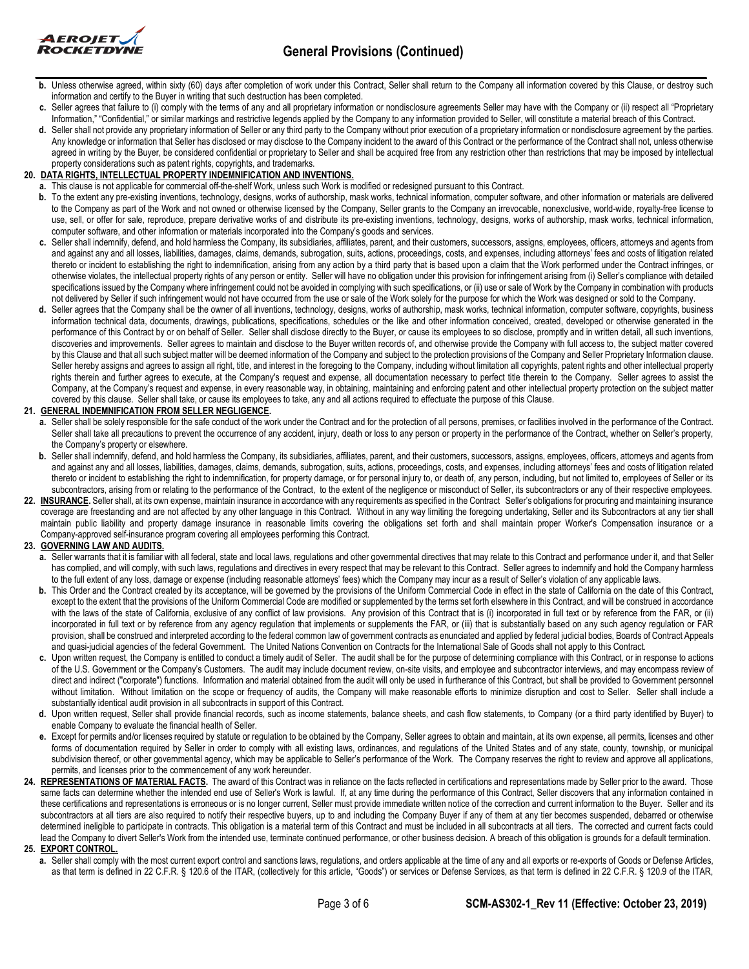

- **b.** Unless otherwise agreed, within sixty (60) days after completion of work under this Contract, Seller shall return to the Company all information covered by this Clause, or destroy such information and certify to the Buyer in writing that such destruction has been completed.
- c. Seller agrees that failure to (i) comply with the terms of any and all proprietary information or nondisclosure agreements Seller may have with the Company or (ii) respect all "Proprietary Information," "Confidential," or similar markings and restrictive legends applied by the Company to any information provided to Seller, will constitute a material breach of this Contract.
- **d.** Seller shall not provide any proprietary information of Seller or any third party to the Company without prior execution of a proprietary information or nondisclosure agreement by the parties. Any knowledge or information that Seller has disclosed or may disclose to the Company incident to the award of this Contract or the performance of the Contract shall not, unless otherwise agreed in writing by the Buyer, be considered confidential or proprietary to Seller and shall be acquired free from any restriction other than restrictions that may be imposed by intellectual property considerations such as patent rights, copyrights, and trademarks.

# **20. DATA RIGHTS, INTELLECTUAL PROPERTY INDEMNIFICATION AND INVENTIONS.**

- **a.** This clause is not applicable for commercial off-the-shelf Work, unless such Work is modified or redesigned pursuant to this Contract.
- b. To the extent any pre-existing inventions, technology, designs, works of authorship, mask works, technical information, computer software, and other information or materials are delivered to the Company as part of the Work and not owned or otherwise licensed by the Company, Seller grants to the Company an irrevocable, nonexclusive, world-wide, royalty-free license to use, sell, or offer for sale, reproduce, prepare derivative works of and distribute its pre-existing inventions, technology, designs, works of authorship, mask works, technical information, computer software, and other information or materials incorporated into the Company's goods and services.
- **c.** Seller shall indemnify, defend, and hold harmless the Company, its subsidiaries, affiliates, parent, and their customers, successors, assigns, employees, officers, attorneys and agents from and against any and all losses, liabilities, damages, claims, demands, subrogation, suits, actions, proceedings, costs, and expenses, including attorneys' fees and costs of litigation related thereto or incident to establishing the right to indemnification, arising from any action by a third party that is based upon a claim that the Work performed under the Contract infringes, or otherwise violates, the intellectual property rights of any person or entity. Seller will have no obligation under this provision for infringement arising from (i) Seller's compliance with detailed specifications issued by the Company where infringement could not be avoided in complying with such specifications, or (ii) use or sale of Work by the Company in combination with products not delivered by Seller if such infringement would not have occurred from the use or sale of the Work solely for the purpose for which the Work was designed or sold to the Company.
- **d.** Seller agrees that the Company shall be the owner of all inventions, technology, designs, works of authorship, mask works, technical information, computer software, copyrights, business information technical data, documents, drawings, publications, specifications, schedules or the like and other information conceived, created, developed or otherwise generated in the performance of this Contract by or on behalf of Seller. Seller shall disclose directly to the Buyer, or cause its employees to so disclose, promptly and in written detail, all such inventions, discoveries and improvements. Seller agrees to maintain and disclose to the Buyer written records of, and otherwise provide the Company with full access to, the subject matter covered by this Clause and that all such subject matter will be deemed information of the Company and subject to the protection provisions of the Company and Seller Proprietary Information clause. Seller hereby assigns and agrees to assign all right, title, and interest in the foregoing to the Company, including without limitation all copyrights, patent rights and other intellectual property rights therein and further agrees to execute, at the Company's request and expense, all documentation necessary to perfect title therein to the Company. Seller agrees to assist the Company, at the Company's request and expense, in every reasonable way, in obtaining, maintaining and enforcing patent and other intellectual property protection on the subject matter covered by this clause. Seller shall take, or cause its employees to take, any and all actions required to effectuate the purpose of this Clause.

# **21. GENERAL INDEMNIFICATION FROM SELLER NEGLIGENCE.**

- **a.** Seller shall be solely responsible for the safe conduct of the work under the Contract and for the protection of all persons, premises, or facilities involved in the performance of the Contract. Seller shall take all precautions to prevent the occurrence of any accident, injury, death or loss to any person or property in the performance of the Contract, whether on Seller's property, the Company's property or elsewhere.
- b. Seller shall indemnify, defend, and hold harmless the Company, its subsidiaries, affiliates, parent, and their customers, successors, assigns, employees, officers, attorneys and agents from and against any and all losses, liabilities, damages, claims, demands, subrogation, suits, actions, proceedings, costs, and expenses, including attorneys' fees and costs of litigation related thereto or incident to establishing the right to indemnification, for property damage, or for personal injury to, or death of, any person, including, but not limited to, employees of Seller or its subcontractors, arising from or relating to the performance of the Contract, to the extent of the negligence or misconduct of Seller, its subcontractors or any of their respective employees.
- 22. INSURANCE. Seller shall, at its own expense, maintain insurance in accordance with any requirements as specified in the Contract Seller's obligations for procuring and maintaining insurance coverage are freestanding and are not affected by any other language in this Contract. Without in any way limiting the foregoing undertaking, Seller and its Subcontractors at any tier shall maintain public liability and property damage insurance in reasonable limits covering the obligations set forth and shall maintain proper Worker's Compensation insurance or a Company-approved self-insurance program covering all employees performing this Contract.

# **23. GOVERNING LAW AND AUDITS.**

- **a.** Seller warrants that it is familiar with all federal, state and local laws, regulations and other governmental directives that may relate to this Contract and performance under it, and that Seller has complied, and will comply, with such laws, regulations and directives in every respect that may be relevant to this Contract. Seller agrees to indemnify and hold the Company harmless to the full extent of any loss, damage or expense (including reasonable attorneys' fees) which the Company may incur as a result of Seller's violation of any applicable laws.
- **b.** This Order and the Contract created by its acceptance, will be governed by the provisions of the Uniform Commercial Code in effect in the state of California on the date of this Contract, except to the extent that the provisions of the Uniform Commercial Code are modified or supplemented by the terms set forth elsewhere in this Contract, and will be construed in accordance with the laws of the state of California, exclusive of any conflict of law provisions. Any provision of this Contract that is (i) incorporated in full text or by reference from the FAR, or (ii) incorporated in full text or by reference from any agency regulation that implements or supplements the FAR, or (iii) that is substantially based on any such agency regulation or FAR provision, shall be construed and interpreted according to the federal common law of government contracts as enunciated and applied by federal judicial bodies, Boards of Contract Appeals and quasi-judicial agencies of the federal Government. The United Nations Convention on Contracts for the International Sale of Goods shall not apply to this Contract.
- **c.** Upon written request, the Company is entitled to conduct a timely audit of Seller. The audit shall be for the purpose of determining compliance with this Contract, or in response to actions of the U.S. Government or the Company's Customers. The audit may include document review, on-site visits, and employee and subcontractor interviews, and may encompass review of direct and indirect ("corporate") functions. Information and material obtained from the audit will only be used in furtherance of this Contract, but shall be provided to Government personnel without limitation. Without limitation on the scope or frequency of audits, the Company will make reasonable efforts to minimize disruption and cost to Seller. Seller shall include a substantially identical audit provision in all subcontracts in support of this Contract.
- **d.** Upon written request, Seller shall provide financial records, such as income statements, balance sheets, and cash flow statements, to Company (or a third party identified by Buyer) to enable Company to evaluate the financial health of Seller.
- e. Except for permits and/or licenses required by statute or regulation to be obtained by the Company, Seller agrees to obtain and maintain, at its own expense, all permits, licenses and other forms of documentation required by Seller in order to comply with all existing laws, ordinances, and regulations of the United States and of any state, county, township, or municipal subdivision thereof, or other governmental agency, which may be applicable to Seller's performance of the Work. The Company reserves the right to review and approve all applications, permits, and licenses prior to the commencement of any work hereunder.
- 24. REPRESENTATIONS OF MATERIAL FACTS. The award of this Contract was in reliance on the facts reflected in certifications and representations made by Seller prior to the award. Those same facts can determine whether the intended end use of Seller's Work is lawful. If, at any time during the performance of this Contract, Seller discovers that any information contained in these certifications and representations is erroneous or is no longer current, Seller must provide immediate written notice of the correction and current information to the Buyer. Seller and its subcontractors at all tiers are also required to notify their respective buyers, up to and including the Company Buyer if any of them at any tier becomes suspended, debarred or otherwise determined ineligible to participate in contracts. This obligation is a material term of this Contract and must be included in all subcontracts at all tiers. The corrected and current facts could lead the Company to divert Seller's Work from the intended use, terminate continued performance, or other business decision. A breach of this obligation is grounds for a default termination. **25. EXPORT CONTROL.**
	- **a.** Seller shall comply with the most current export control and sanctions laws, regulations, and orders applicable at the time of any and all exports or re-exports of Goods or Defense Articles, as that term is defined in 22 C.F.R. § 120.6 of the ITAR, (collectively for this article, "Goods") or services or Defense Services, as that term is defined in 22 C.F.R. § 120.9 of the ITAR,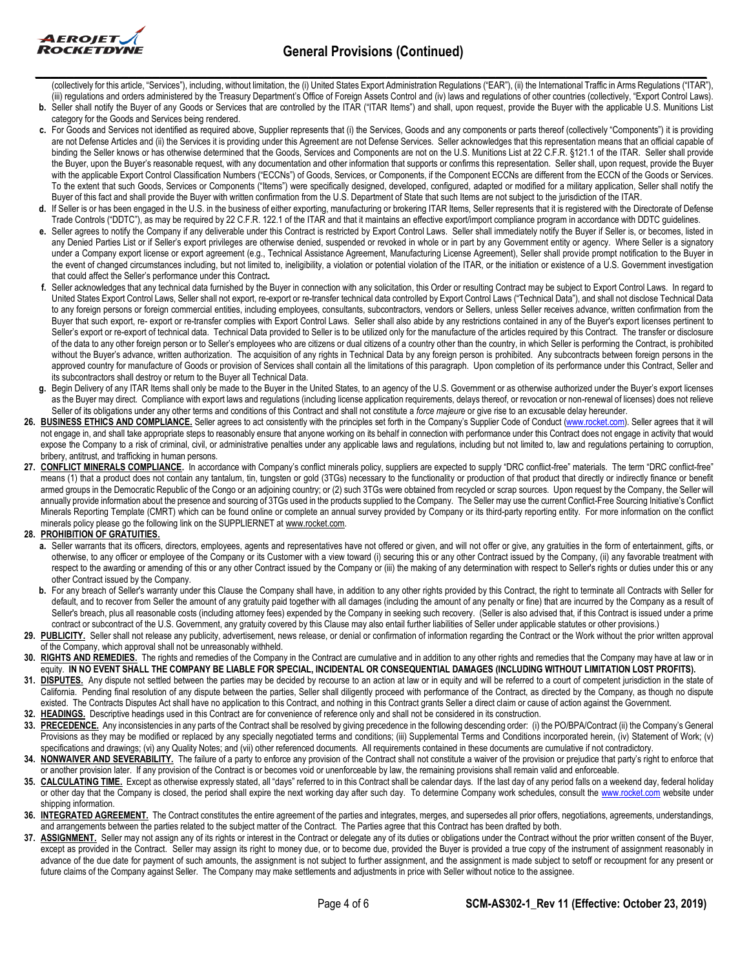

# **General Provisions (Continued) \_\_\_\_\_\_\_\_\_\_\_\_\_\_\_\_\_\_\_\_\_\_\_\_\_\_\_\_\_\_\_\_\_\_\_\_\_\_\_\_\_\_\_\_\_\_\_\_\_\_\_\_\_\_\_\_\_\_\_\_\_\_\_\_\_\_\_\_\_\_\_\_\_\_\_\_\_\_\_\_\_\_\_\_\_\_**

(collectively for this article, "Services"), including, without limitation, the (i) United States Export Administration Regulations ("EAR"), (ii) the International Traffic in Arms Regulations ("ITAR"), (iii) regulations and orders administered by the Treasury Department's Office of Foreign Assets Control and (iv) laws and regulations of other countries (collectively, "Export Control Laws). **b.** Seller shall notify the Buyer of any Goods or Services that are controlled by the ITAR ("ITAR Items") and shall, upon request, provide the Buyer with the applicable U.S. Munitions List

- category for the Goods and Services being rendered.
	- **c.** For Goods and Services not identified as required above, Supplier represents that (i) the Services, Goods and any components or parts thereof (collectively "Components") it is providing are not Defense Articles and (ii) the Services it is providing under this Agreement are not Defense Services. Seller acknowledges that this representation means that an official capable of binding the Seller knows or has otherwise determined that the Goods. Services and Components are not on the U.S. Munitions List at 22 C.F.R. §121.1 of the ITAR. Seller shall provide the Buyer, upon the Buyer's reasonable request, with any documentation and other information that supports or confirms this representation. Seller shall, upon request, provide the Buyer with the applicable Export Control Classification Numbers ("ECCNs") of Goods, Services, or Components, if the Component ECCNs are different from the ECCN of the Goods or Services. To the extent that such Goods, Services or Components ("Items") were specifically designed, developed, configured, adapted or modified for a military application, Seller shall notify the Buyer of this fact and shall provide the Buyer with written confirmation from the U.S. Department of State that such Items are not subject to the jurisdiction of the ITAR.
	- **d.** If Seller is or has been engaged in the U.S. in the business of either exporting, manufacturing or brokering ITAR Items, Seller represents that it is registered with the Directorate of Defense Trade Controls ("DDTC"), as may be required by 22 C.F.R. 122.1 of the ITAR and that it maintains an effective export/import compliance program in accordance with DDTC guidelines.
	- **e.** Seller agrees to notify the Company if any deliverable under this Contract is restricted by Export Control Laws. Seller shall immediately notify the Buyer if Seller is, or becomes, listed in any Denied Parties List or if Seller's export privileges are otherwise denied, suspended or revoked in whole or in part by any Government entity or agency. Where Seller is a signatory under a Company export license or export agreement (e.g., Technical Assistance Agreement, Manufacturing License Agreement), Seller shall provide prompt notification to the Buyer in the event of changed circumstances including, but not limited to, ineligibility, a violation or potential violation of the ITAR, or the initiation or existence of a U.S. Government investigation that could affect the Seller's performance under this Contract**.**
	- **f.** Seller acknowledges that any technical data furnished by the Buyer in connection with any solicitation, this Order or resulting Contract may be subject to Export Control Laws. In regard to United States Export Control Laws, Seller shall not export, re-export or re-transfer technical data controlled by Export Control Laws ("Technical Data"), and shall not disclose Technical Data to any foreign persons or foreign commercial entities, including employees, consultants, subcontractors, vendors or Sellers, unless Seller receives advance, written confirmation from the Buyer that such export, re- export or re-transfer complies with Export Control Laws. Seller shall also abide by any restrictions contained in any of the Buyer's export licenses pertinent to Seller's export or re-export of technical data. Technical Data provided to Seller is to be utilized only for the manufacture of the articles required by this Contract. The transfer or disclosure of the data to any other foreign person or to Seller's employees who are citizens or dual citizens of a country other than the country, in which Seller is performing the Contract, is prohibited without the Buyer's advance, written authorization. The acquisition of any rights in Technical Data by any foreign person is prohibited. Any subcontracts between foreign persons in the approved country for manufacture of Goods or provision of Services shall contain all the limitations of this paragraph. Upon completion of its performance under this Contract, Seller and its subcontractors shall destroy or return to the Buyer all Technical Data.
	- **g.** Begin Delivery of any ITAR Items shall only be made to the Buyer in the United States, to an agency of the U.S. Government or as otherwise authorized under the Buyer's export licenses as the Buyer may direct. Compliance with export laws and regulations (including license application requirements, delays thereof, or revocation or non-renewal of licenses) does not relieve Seller of its obligations under any other terms and conditions of this Contract and shall not constitute a *force majeure* or give rise to an excusable delay hereunder.
- 26. BUSINESS ETHICS AND COMPLIANCE. Seller agrees to act consistently with the principles set forth in the Company's Supplier Code of Conduct [\(www.rocket.com\).](http://www.rocket.com/) Seller agrees that it will not engage in, and shall take appropriate steps to reasonably ensure that anyone working on its behalf in connection with performance under this Contract does not engage in activity that would expose the Company to a risk of criminal, civil, or administrative penalties under any applicable laws and regulations, including but not limited to, law and regulations pertaining to corruption, bribery, antitrust, and trafficking in human persons.
- 27. **CONFLICT MINERALS COMPLIANCE**. In accordance with Company's conflict minerals policy, suppliers are expected to supply "DRC conflict-free" materials. The term "DRC conflict-free" means (1) that a product does not contain any tantalum, tin, tungsten or gold (3TGs) necessary to the functionality or production of that product that directly or indirectly finance or benefit armed groups in the Democratic Republic of the Congo or an adjoining country; or (2) such 3TGs were obtained from recycled or scrap sources. Upon request by the Company, the Seller will annually provide information about the presence and sourcing of 3TGs used in the products supplied to the Company. The Seller may use the current Conflict-Free Sourcing Initiative's Conflict Minerals Reporting Template (CMRT) which can be found online or complete an annual survey provided by Company or its third-party reporting entity. For more information on the conflict minerals policy please go the following link on the SUPPLIERNET at www.rocket.com.

# **28. PROHIBITION OF GRATUITIES.**

- a. Seller warrants that its officers, directors, employees, agents and representatives have not offered or given, and will not offer or give, any gratuities in the form of entertainment, gifts, or otherwise, to any officer or employee of the Company or its Customer with a view toward (i) securing this or any other Contract issued by the Company, (ii) any favorable treatment with respect to the awarding or amending of this or any other Contract issued by the Company or (iii) the making of any determination with respect to Seller's rights or duties under this or any other Contract issued by the Company.
- **b.** For any breach of Seller's warranty under this Clause the Company shall have, in addition to any other rights provided by this Contract, the right to terminate all Contracts with Seller for default, and to recover from Seller the amount of any gratuity paid together with all damages (including the amount of any penalty or fine) that are incurred by the Company as a result of Seller's breach, plus all reasonable costs (including attorney fees) expended by the Company in seeking such recovery. (Seller is also advised that, if this Contract is issued under a prime contract or subcontract of the U.S. Government, any gratuity covered by this Clause may also entail further liabilities of Seller under applicable statutes or other provisions.)
- 29. PUBLICITY. Seller shall not release any publicity, advertisement, news release, or denial or confirmation of information regarding the Contract or the Work without the prior written approval of the Company, which approval shall not be unreasonably withheld.
- 30. RIGHTS AND REMEDIES. The rights and remedies of the Company in the Contract are cumulative and in addition to any other rights and remedies that the Company may have at law or in equity. **IN NO EVENT SHALL THE COMPANY BE LIABLE FOR SPECIAL, INCIDENTAL OR CONSEQUENTIAL DAMAGES (INCLUDING WITHOUT LIMITATION LOST PROFITS).**
- **31.** DISPUTES. Any dispute not settled between the parties may be decided by recourse to an action at law or in equity and will be referred to a court of competent jurisdiction in the state of California. Pending final resolution of any dispute between the parties, Seller shall diligently proceed with performance of the Contract, as directed by the Company, as though no dispute existed. The Contracts Disputes Act shall have no application to this Contract, and nothing in this Contract grants Seller a direct claim or cause of action against the Government.
- **32. HEADINGS.** Descriptive headings used in this Contract are for convenience of reference only and shall not be considered in its construction.
- 33. PRECEDENCE. Any inconsistencies in any parts of the Contract shall be resolved by giving precedence in the following descending order: (i) the PO/BPA/Contract (ii) the Company's General Provisions as they may be modified or replaced by any specially negotiated terms and conditions; (iii) Supplemental Terms and Conditions incorporated herein, (iv) Statement of Work; (v) specifications and drawings; (vi) any Quality Notes; and (vii) other referenced documents. All requirements contained in these documents are cumulative if not contradictory.
- **34. NONWAIVER AND SEVERABILITY.** The failure of a party to enforce any provision of the Contract shall not constitute a waiver of the provision or prejudice that party's right to enforce that or another provision later. If any provision of the Contract is or becomes void or unenforceable by law, the remaining provisions shall remain valid and enforceable.
- 35. CALCULATING TIME. Except as otherwise expressly stated, all "days" referred to in this Contract shall be calendar days. If the last day of any period falls on a weekend day, federal holiday or other day that the Company is closed, the period shall expire the next working day after such day. To determine Company work schedules, consult th[e www.rocket.com](http://www.rocket.com/) website under shipping information.
- 36. INTEGRATED AGREEMENT. The Contract constitutes the entire agreement of the parties and integrates, merges, and supersedes all prior offers, negotiations, agreements, understandings, and arrangements between the parties related to the subject matter of the Contract. The Parties agree that this Contract has been drafted by both.
- **37. ASSIGNMENT.** Seller may not assign any of its rights or interest in the Contract or delegate any of its duties or obligations under the Contract without the prior written consent of the Buyer, except as provided in the Contract. Seller may assign its right to money due, or to become due, provided the Buyer is provided a true copy of the instrument of assignment reasonably in advance of the due date for payment of such amounts, the assignment is not subject to further assignment, and the assignment is made subject to setoff or recoupment for any present or future claims of the Company against Seller. The Company may make settlements and adjustments in price with Seller without notice to the assignee.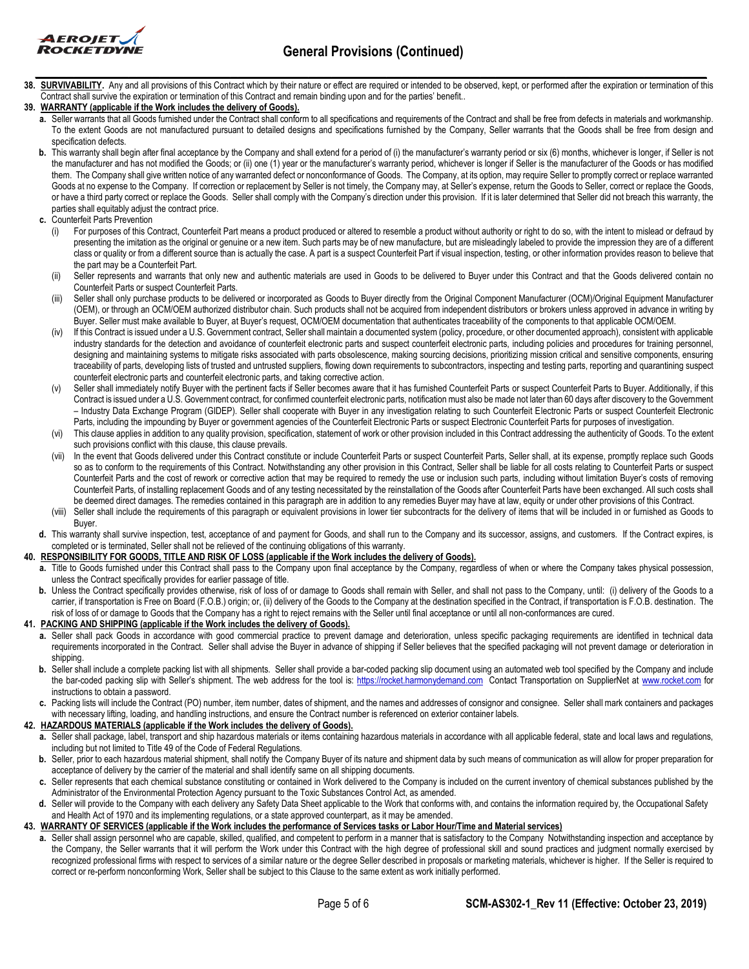

# **General Provisions (Continued) \_\_\_\_\_\_\_\_\_\_\_\_\_\_\_\_\_\_\_\_\_\_\_\_\_\_\_\_\_\_\_\_\_\_\_\_\_\_\_\_\_\_\_\_\_\_\_\_\_\_\_\_\_\_\_\_\_\_\_\_\_\_\_\_\_\_\_\_\_\_\_\_\_\_\_\_\_\_\_\_\_\_\_\_\_\_**

**38. SURVIVABILITY.** Any and all provisions of this Contract which by their nature or effect are required or intended to be observed, kept, or performed after the expiration or termination of this Contract shall survive the expiration or termination of this Contract and remain binding upon and for the parties' benefit..

# **39. WARRANTY (applicable if the Work includes the delivery of Goods).**

- **a.** Seller warrants that all Goods furnished under the Contract shall conform to all specifications and requirements of the Contract and shall be free from defects in materials and workmanship. To the extent Goods are not manufactured pursuant to detailed designs and specifications furnished by the Company, Seller warrants that the Goods shall be free from design and specification defects.
- **b.** This warranty shall begin after final acceptance by the Company and shall extend for a period of (i) the manufacturer's warranty period or six (6) months, whichever is longer, if Seller is not the manufacturer and has not modified the Goods; or (ii) one (1) year or the manufacturer's warranty period, whichever is longer if Seller is the manufacturer of the Goods or has modified them. The Company shall give written notice of any warranted defect or nonconformance of Goods. The Company, at its option, may require Seller to promptly correct or replace warranted Goods at no expense to the Company. If correction or replacement by Seller is not timely, the Company may, at Seller's expense, return the Goods to Seller, correct or replace the Goods, or have a third party correct or replace the Goods. Seller shall comply with the Company's direction under this provision. If it is later determined that Seller did not breach this warranty, the parties shall equitably adjust the contract price.
- **c.** Counterfeit Parts Prevention
	- (i) For purposes of this Contract, Counterfeit Part means a product produced or altered to resemble a product without authority or right to do so, with the intent to mislead or defraud by presenting the imitation as the original or genuine or a new item. Such parts may be of new manufacture, but are misleadingly labeled to provide the impression they are of a different class or quality or from a different source than is actually the case. A part is a suspect Counterfeit Part if visual inspection, testing, or other information provides reason to believe that the part may be a Counterfeit Part.
	- (ii) Seller represents and warrants that only new and authentic materials are used in Goods to be delivered to Buyer under this Contract and that the Goods delivered contain no Counterfeit Parts or suspect Counterfeit Parts.
	- (iii) Seller shall only purchase products to be delivered or incorporated as Goods to Buyer directly from the Original Component Manufacturer (OCM)/Original Equipment Manufacturer (OEM), or through an OCM/OEM authorized distributor chain. Such products shall not be acquired from independent distributors or brokers unless approved in advance in writing by Buyer. Seller must make available to Buyer, at Buyer's request, OCM/OEM documentation that authenticates traceability of the components to that applicable OCM/OEM.
	- (iv) If this Contract is issued under a U.S. Government contract, Seller shall maintain a documented system (policy, procedure, or other documented approach), consistent with applicable industry standards for the detection and avoidance of counterfeit electronic parts and suspect counterfeit electronic parts, including policies and procedures for training personnel, designing and maintaining systems to mitigate risks associated with parts obsolescence, making sourcing decisions, prioritizing mission critical and sensitive components, ensuring traceability of parts, developing lists of trusted and untrusted suppliers, flowing down requirements to subcontractors, inspecting and testing parts, reporting and quarantining suspect counterfeit electronic parts and counterfeit electronic parts, and taking corrective action.
	- (v) Seller shall immediately notify Buyer with the pertinent facts if Seller becomes aware that it has furnished Counterfeit Parts or suspect Counterfeit Parts to Buyer. Additionally, if this Contract is issued under a U.S. Government contract, for confirmed counterfeit electronic parts, notification must also be made not later than 60 days after discovery to the Government – Industry Data Exchange Program (GIDEP). Seller shall cooperate with Buyer in any investigation relating to such Counterfeit Electronic Parts or suspect Counterfeit Electronic Parts, including the impounding by Buyer or government agencies of the Counterfeit Electronic Parts or suspect Electronic Counterfeit Parts for purposes of investigation.
	- (vi) This clause applies in addition to any quality provision, specification, statement of work or other provision included in this Contract addressing the authenticity of Goods. To the extent such provisions conflict with this clause, this clause prevails.
	- (vii) In the event that Goods delivered under this Contract constitute or include Counterfeit Parts or suspect Counterfeit Parts, Seller shall, at its expense, promptly replace such Goods so as to conform to the requirements of this Contract. Notwithstanding any other provision in this Contract, Seller shall be liable for all costs relating to Counterfeit Parts or suspect Counterfeit Parts and the cost of rework or corrective action that may be required to remedy the use or inclusion such parts, including without limitation Buyer's costs of removing Counterfeit Parts, of installing replacement Goods and of any testing necessitated by the reinstallation of the Goods after Counterfeit Parts have been exchanged. All such costs shall be deemed direct damages. The remedies contained in this paragraph are in addition to any remedies Buyer may have at law, equity or under other provisions of this Contract.
	- (viii) Seller shall include the requirements of this paragraph or equivalent provisions in lower tier subcontracts for the delivery of items that will be included in or furnished as Goods to Buyer.
- **d.** This warranty shall survive inspection, test, acceptance of and payment for Goods, and shall run to the Company and its successor, assigns, and customers. If the Contract expires, is completed or is terminated, Seller shall not be relieved of the continuing obligations of this warranty.

# **40. RESPONSIBILITY FOR GOODS, TITLE AND RISK OF LOSS (applicable if the Work includes the delivery of Goods).**

- **a.** Title to Goods furnished under this Contract shall pass to the Company upon final acceptance by the Company, regardless of when or where the Company takes physical possession, unless the Contract specifically provides for earlier passage of title.
- **b.** Unless the Contract specifically provides otherwise, risk of loss of or damage to Goods shall remain with Seller, and shall not pass to the Company, until: (i) delivery of the Goods to a carrier, if transportation is Free on Board (F.O.B.) origin; or, (ii) delivery of the Goods to the Company at the destination specified in the Contract, if transportation is F.O.B. destination. The risk of loss of or damage to Goods that the Company has a right to reject remains with the Seller until final acceptance or until all non-conformances are cured.

# **41. PACKING AND SHIPPING (applicable if the Work includes the delivery of Goods).**

- **a.** Seller shall pack Goods in accordance with good commercial practice to prevent damage and deterioration, unless specific packaging requirements are identified in technical data requirements incorporated in the Contract. Seller shall advise the Buyer in advance of shipping if Seller believes that the specified packaging will not prevent damage or deterioration in shipping.
- b. Seller shall include a complete packing list with all shipments. Seller shall provide a bar-coded packing slip document using an automated web tool specified by the Company and include the bar-coded packing slip with Seller's shipment. The web address for the tool is: [https://rocket.harmonydemand.com](https://rocket.harmonydemand.com/) Contact Transportation on SupplierNet at [www.rocket.com](http://www.rocket.com/) for instructions to obtain a password.
- Packing lists will include the Contract (PO) number, item number, dates of shipment, and the names and addresses of consignor and consignee. Seller shall mark containers and packages with necessary lifting, loading, and handling instructions, and ensure the Contract number is referenced on exterior container labels.

# **42. HAZARDOUS MATERIALS (applicable if the Work includes the delivery of Goods).**

- **a.** Seller shall package, label, transport and ship hazardous materials or items containing hazardous materials in accordance with all applicable federal, state and local laws and regulations, including but not limited to Title 49 of the Code of Federal Regulations.
- **b.** Seller, prior to each hazardous material shipment, shall notify the Company Buyer of its nature and shipment data by such means of communication as will allow for proper preparation for acceptance of delivery by the carrier of the material and shall identify same on all shipping documents.
- Seller represents that each chemical substance constituting or contained in Work delivered to the Company is included on the current inventory of chemical substances published by the Administrator of the Environmental Protection Agency pursuant to the Toxic Substances Control Act, as amended.
- Seller will provide to the Company with each delivery any Safety Data Sheet applicable to the Work that conforms with, and contains the information required by, the Occupational Safety and Health Act of 1970 and its implementing regulations, or a state approved counterpart, as it may be amended.

# **43. WARRANTY OF SERVICES (applicable if the Work includes the performance of Services tasks or Labor Hour/Time and Material services)**

**a.** Seller shall assign personnel who are capable, skilled, qualified, and competent to perform in a manner that is satisfactory to the Company Notwithstanding inspection and acceptance by the Company, the Seller warrants that it will perform the Work under this Contract with the high degree of professional skill and sound practices and judgment normally exercised by recognized professional firms with respect to services of a similar nature or the degree Seller described in proposals or marketing materials, whichever is higher. If the Seller is required to correct or re-perform nonconforming Work, Seller shall be subject to this Clause to the same extent as work initially performed.